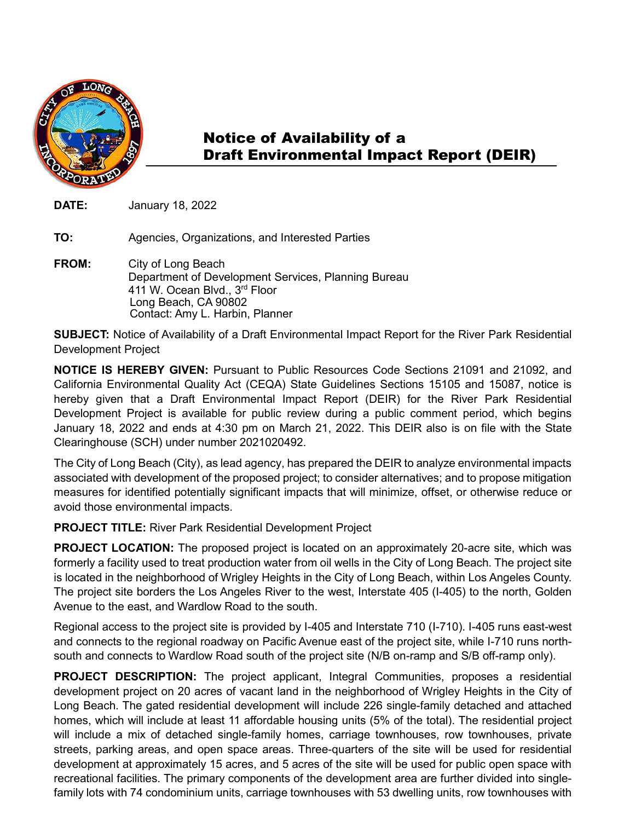

## Notice of Availability of a Draft Environmental Impact Report (DEIR)

**DATE:** January 18, 2022

**TO:** Agencies, Organizations, and Interested Parties

**FROM:** City of Long Beach Department of Development Services, Planning Bureau 411 W. Ocean Blvd., 3rd Floor Long Beach, CA 90802 Contact: Amy L. Harbin, Planner

**SUBJECT:** Notice of Availability of a Draft Environmental Impact Report for the River Park Residential Development Project

**NOTICE IS HEREBY GIVEN:** Pursuant to Public Resources Code Sections 21091 and 21092, and California Environmental Quality Act (CEQA) State Guidelines Sections 15105 and 15087, notice is hereby given that a Draft Environmental Impact Report (DEIR) for the River Park Residential Development Project is available for public review during a public comment period, which begins January 18, 2022 and ends at 4:30 pm on March 21, 2022. This DEIR also is on file with the State Clearinghouse (SCH) under number 2021020492.

The City of Long Beach (City), as lead agency, has prepared the DEIR to analyze environmental impacts associated with development of the proposed project; to consider alternatives; and to propose mitigation measures for identified potentially significant impacts that will minimize, offset, or otherwise reduce or avoid those environmental impacts.

**PROJECT TITLE:** River Park Residential Development Project

**PROJECT LOCATION:** The proposed project is located on an approximately 20-acre site, which was formerly a facility used to treat production water from oil wells in the City of Long Beach. The project site is located in the neighborhood of Wrigley Heights in the City of Long Beach, within Los Angeles County. The project site borders the Los Angeles River to the west, Interstate 405 (I-405) to the north, Golden Avenue to the east, and Wardlow Road to the south.

Regional access to the project site is provided by I-405 and Interstate 710 (I-710). I-405 runs east-west and connects to the regional roadway on Pacific Avenue east of the project site, while I-710 runs northsouth and connects to Wardlow Road south of the project site (N/B on-ramp and S/B off-ramp only).

**PROJECT DESCRIPTION:** The project applicant, Integral Communities, proposes a residential development project on 20 acres of vacant land in the neighborhood of Wrigley Heights in the City of Long Beach. The gated residential development will include 226 single-family detached and attached homes, which will include at least 11 affordable housing units (5% of the total). The residential project will include a mix of detached single-family homes, carriage townhouses, row townhouses, private streets, parking areas, and open space areas. Three-quarters of the site will be used for residential development at approximately 15 acres, and 5 acres of the site will be used for public open space with recreational facilities. The primary components of the development area are further divided into singlefamily lots with 74 condominium units, carriage townhouses with 53 dwelling units, row townhouses with